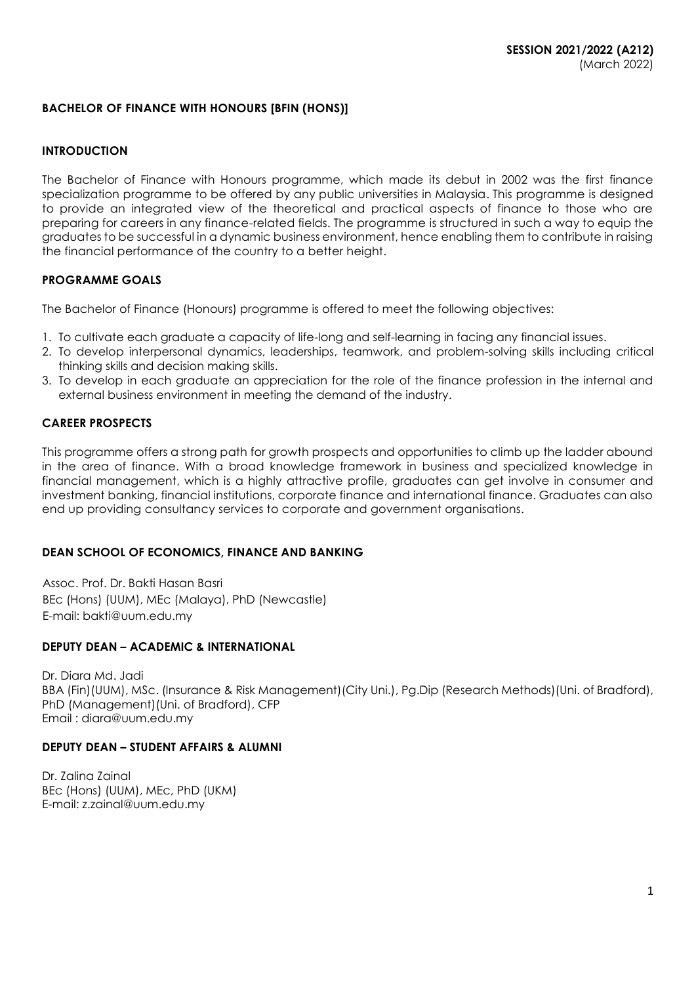# **BACHELOR OF FINANCE WITH HONOURS [BFIN (HONS)]**

#### **INTRODUCTION**

The Bachelor of Finance with Honours programme, which made its debut in 2002 was the first finance specialization programme to be offered by any public universities in Malaysia. This programme is designed to provide an integrated view of the theoretical and practical aspects of finance to those who are preparing for careers in any finance-related fields. The programme is structured in such a way to equip the graduates to be successful in a dynamic business environment, hence enabling them to contribute in raising the financial performance of the country to a better height.

# **PROGRAMME GOALS**

The Bachelor of Finance (Honours) programme is offered to meet the following objectives:

- 1. To cultivate each graduate a capacity of life-long and self-learning in facing any financial issues.
- 2. To develop interpersonal dynamics, leaderships, teamwork, and problem-solving skills including critical thinking skills and decision making skills.
- 3. To develop in each graduate an appreciation for the role of the finance profession in the internal and external business environment in meeting the demand of the industry.

# **CAREER PROSPECTS**

This programme offers a strong path for growth prospects and opportunities to climb up the ladder abound in the area of finance. With a broad knowledge framework in business and specialized knowledge in financial management, which is a highly attractive profile, graduates can get involve in consumer and investment banking, financial institutions, corporate finance and international finance. Graduates can also end up providing consultancy services to corporate and government organisations.

# **DEAN SCHOOL OF ECONOMICS, FINANCE AND BANKING**

Assoc. Prof. Dr. Bakti Hasan Basri BEc (Hons) (UUM), MEc (Malaya), PhD (Newcastle) E-mail: bakti@uum.edu.my

# **DEPUTY DEAN – ACADEMIC & INTERNATIONAL**

Dr. Diara Md. Jadi BBA (Fin)(UUM), MSc. (Insurance & Risk Management)(City Uni.), Pg.Dip (Research Methods)(Uni. of Bradford), PhD (Management)(Uni. of Bradford), CFP Email : [diara@uum.edu.my](mailto:diara@uum.edu.my)

# **DEPUTY DEAN – STUDENT AFFAIRS & ALUMNI**

Dr. Zalina Zainal BEc (Hons) (UUM), MEc, PhD (UKM) E-mail: z.zainal@uum.edu.my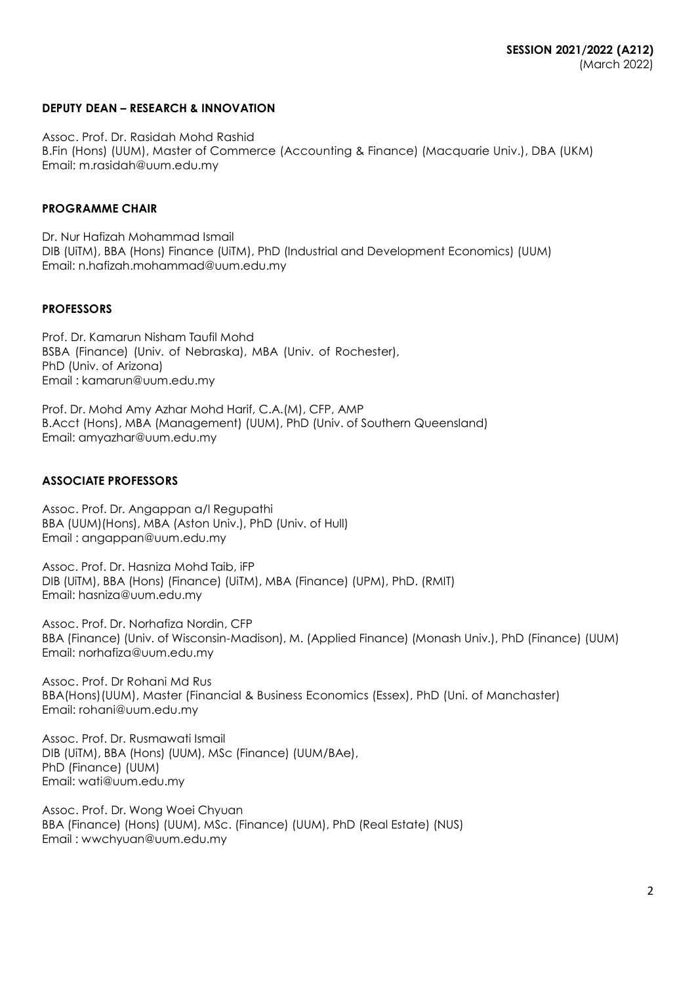# **DEPUTY DEAN – RESEARCH & INNOVATION**

Assoc. Prof. Dr. Rasidah Mohd Rashid B.Fin (Hons) (UUM), Master of Commerce (Accounting & Finance) (Macquarie Univ.), DBA (UKM) Email: m.rasidah@uum.edu.my

# **PROGRAMME CHAIR**

Dr. Nur Hafizah Mohammad Ismail DIB (UiTM), BBA (Hons) Finance (UiTM), PhD (Industrial and Development Economics) (UUM) Email: [n.hafizah.mohammad@uum.edu.my](mailto:n.hafizah.mohammad@uum.edu.my)

#### **PROFESSORS**

Prof. Dr. Kamarun Nisham Taufil Mohd BSBA (Finance) (Univ. of Nebraska), MBA (Univ. of Rochester), PhD (Univ. of Arizona) Email : [kamarun@uum.edu.my](mailto:kamarun@uum.edu.my)

Prof. Dr. Mohd Amy Azhar Mohd Harif, C.A.(M), CFP, AMP B.Acct (Hons), MBA (Management) (UUM), PhD (Univ. of Southern Queensland) Email: amyazhar@uum.edu.my

# **ASSOCIATE PROFESSORS**

Assoc. Prof. Dr. Angappan a/l Regupathi BBA (UUM)(Hons), MBA (Aston Univ.), PhD (Univ. of Hull) Email : [angappan@uum.edu.my](mailto:angappan@uum.edu.my)

Assoc. Prof. Dr. Hasniza Mohd Taib, iFP DIB (UiTM), BBA (Hons) (Finance) (UiTM), MBA (Finance) (UPM), PhD. (RMIT) Ema[il: hasniza@uum.edu.my](mailto:hasniza@uum.edu.my)

Assoc. Prof. Dr. Norhafiza Nordin, CFP BBA (Finance) (Univ. of Wisconsin-Madison), M. (Applied Finance) (Monash Univ.), PhD (Finance) (UUM) Email: [norhafiza@uum.edu.my](mailto:norhafiza@uum.edu.my)

Assoc. Prof. Dr Rohani Md Rus BBA(Hons)(UUM), Master (Financial & Business Economics (Essex), PhD (Uni. of Manchaster) Email: rohani@uum.edu.my

Assoc. Prof. Dr. Rusmawati Ismail DIB (UiTM), BBA (Hons) (UUM), MSc (Finance) (UUM/BAe), PhD (Finance) (UUM) Email: [wati@uum.edu.my](mailto:wati@uum.edu.my)

Assoc. Prof. Dr. Wong Woei Chyuan BBA (Finance) (Hons) (UUM), MSc. (Finance) (UUM), PhD (Real Estate) (NUS) Email : [wwchyuan@uum.edu.my](mailto:wwchyuan@uum.edu.my)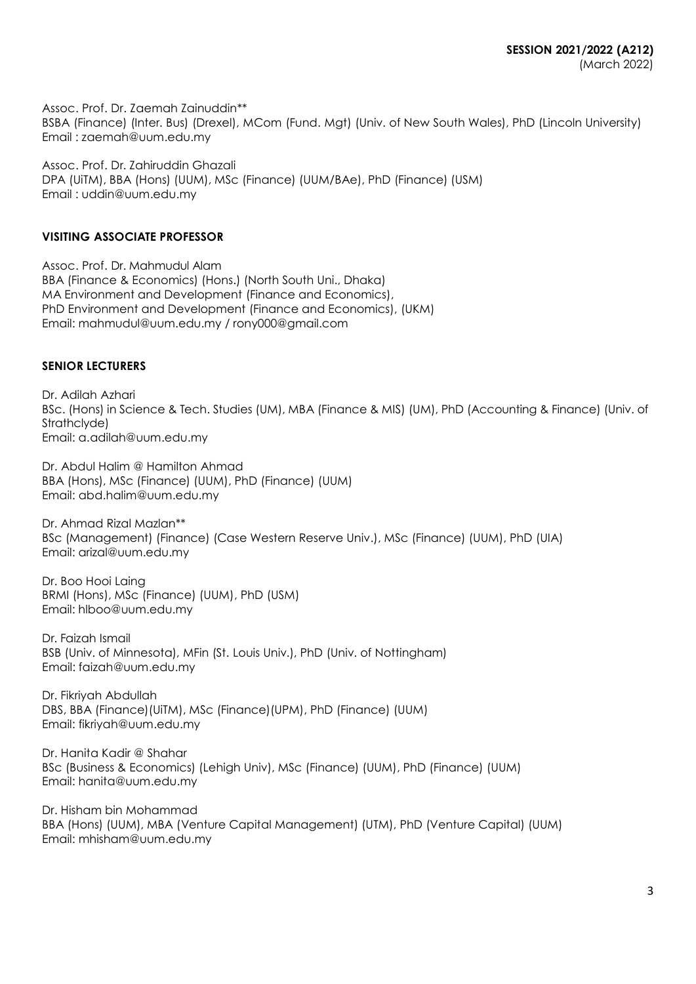Assoc. Prof. Dr. Zaemah Zainuddin\*\* BSBA (Finance) (Inter. Bus) (Drexel), MCom (Fund. Mgt) (Univ. of New South Wales), PhD (Lincoln University) Email : [zaemah@uum.edu.my](mailto:zaemah@uum.edu.my)

Assoc. Prof. Dr. Zahiruddin Ghazali DPA (UiTM), BBA (Hons) (UUM), MSc (Finance) (UUM/BAe), PhD (Finance) (USM) Email : [uddin@uum.edu.my](mailto:uddin@uum.edu.my)

# **VISITING ASSOCIATE PROFESSOR**

Assoc. Prof. Dr. Mahmudul Alam BBA (Finance & Economics) (Hons.) (North South Uni., Dhaka) MA Environment and Development (Finance and Economics), PhD Environment and Development (Finance and Economics), (UKM) Email: [mahmudul@uum.edu.my](mailto:mahmudul@uum.edu.my) / [rony000@gmail.com](mailto:rony000@gmail.com)

# **SENIOR LECTURERS**

Dr. Adilah Azhari BSc. (Hons) in Science & Tech. Studies (UM), MBA (Finance & MIS) (UM), PhD (Accounting & Finance) (Univ. of Strathclyde) Email: [a.adilah@uum.edu.my](mailto:a.adilah@uum.edu.my)

Dr. Abdul Halim @ Hamilton Ahmad BBA (Hons), MSc (Finance) (UUM), PhD (Finance) (UUM) Email: [abd.halim@uum.edu.my](mailto:abd.halim@uum.edu.my)

Dr. Ahmad Rizal Mazlan\*\* BSc (Management) (Finance) (Case Western Reserve Univ.), MSc (Finance) (UUM), PhD (UIA) Email: [arizal@uum.edu.my](mailto:arizal@uum.edu.my)

Dr. Boo Hooi Laing BRMI (Hons), MSc (Finance) (UUM), PhD (USM) Email: hlboo@uum.edu.my

Dr. Faizah Ismail BSB (Univ. of Minnesota), MFin (St. Louis Univ.), PhD (Univ. of Nottingham) Email: [faizah@uum.edu.my](mailto:faizah@uum.edu.my)

Dr. Fikriyah Abdullah DBS, BBA (Finance)(UiTM), MSc (Finance)(UPM), PhD (Finance) (UUM) Email: [fikriyah@uum.edu.my](mailto:fikriyah@uum.edu.my)

Dr. Hanita Kadir @ Shahar BSc (Business & Economics) (Lehigh Univ), MSc (Finance) (UUM), PhD (Finance) (UUM) Email: [hanita@uum.edu.my](mailto:hanita@uum.edu.my)

Dr. Hisham bin Mohammad BBA (Hons) (UUM), MBA (Venture Capital Management) (UTM), PhD (Venture Capital) (UUM) Email: [mhisham@uum.edu.my](mailto:mhisham@uum.edu.my)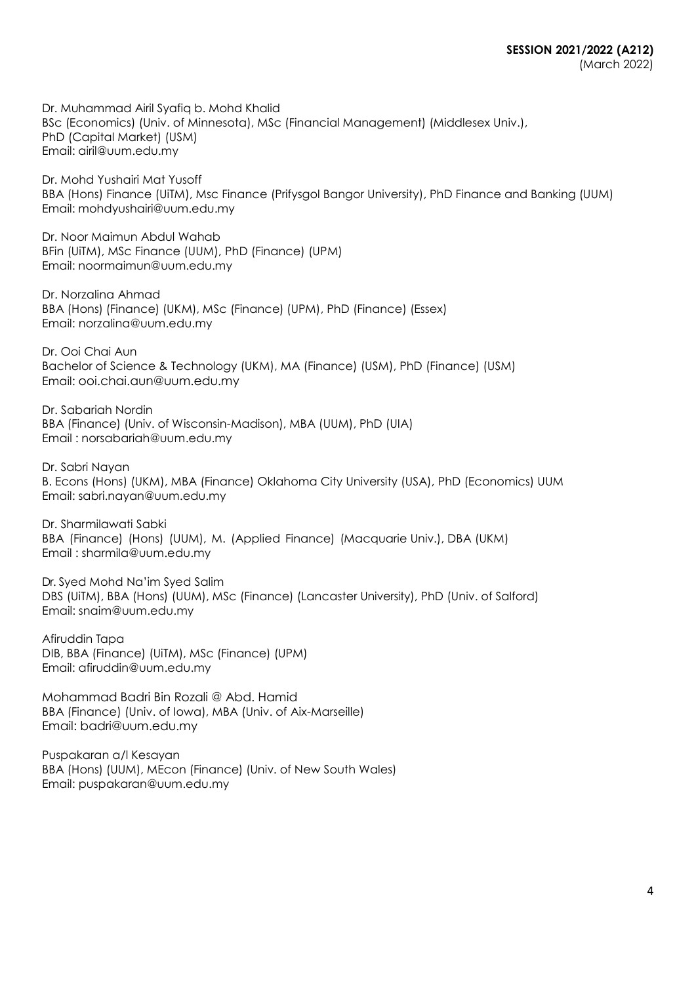Dr. Muhammad Airil Syafiq b. Mohd Khalid BSc (Economics) (Univ. of Minnesota), MSc (Financial Management) (Middlesex Univ.), PhD (Capital Market) (USM) Email: airil@uum.edu.my

Dr. Mohd Yushairi Mat Yusoff BBA (Hons) Finance (UiTM), Msc Finance (Prifysgol Bangor University), PhD Finance and Banking (UUM) Email: mohdyushairi@uum.edu.my

Dr. Noor Maimun Abdul Wahab BFin (UiTM), MSc Finance (UUM), PhD (Finance) (UPM) Email: noormaimun@uum.edu.my

Dr. Norzalina Ahmad BBA (Hons) (Finance) (UKM), MSc (Finance) (UPM), PhD (Finance) (Essex) Email: [norzalina@uum.edu.my](mailto:norzalina@uum.edu.my)

Dr. Ooi Chai Aun Bachelor of Science & Technology (UKM), MA (Finance) (USM), PhD (Finance) (USM) Email: ooi.chai.aun@uum.edu.my

Dr. Sabariah Nordin BBA (Finance) (Univ. of Wisconsin-Madison), MBA (UUM), PhD (UIA) Email [: norsabariah@uum.edu.my](mailto:norsabariah@uum.edu.my)

Dr. Sabri Nayan B. Econs (Hons) (UKM), MBA (Finance) Oklahoma City University (USA), PhD (Economics) UUM Email: sabri.nayan@uum.edu.my

Dr. Sharmilawati Sabki BBA (Finance) (Hons) (UUM), M. (Applied Finance) (Macquarie Univ.), DBA (UKM) Email : [sharmila@uum.edu.my](mailto:sharmila@uum.edu.my)

Dr. Syed Mohd Na'im Syed Salim DBS (UiTM), BBA (Hons) (UUM), MSc (Finance) (Lancaster University), PhD (Univ. of Salford) Email: [snaim@uum.edu.my](mailto:snaim@uum.edu.my)

Afiruddin Tapa DIB, BBA (Finance) (UiTM), MSc (Finance) (UPM) Email: [afiruddin@uum.edu.my](mailto:afiruddin@uum.edu.my)

Mohammad Badri Bin Rozali @ Abd. Hamid BBA (Finance) (Univ. of Iowa), MBA (Univ. of Aix-Marseille) Email: badri@uum.edu.my

Puspakaran a/l Kesayan BBA (Hons) (UUM), MEcon (Finance) (Univ. of New South Wales) Email: [puspakaran@uum.edu.my](mailto:puspakaran@uum.edu.my)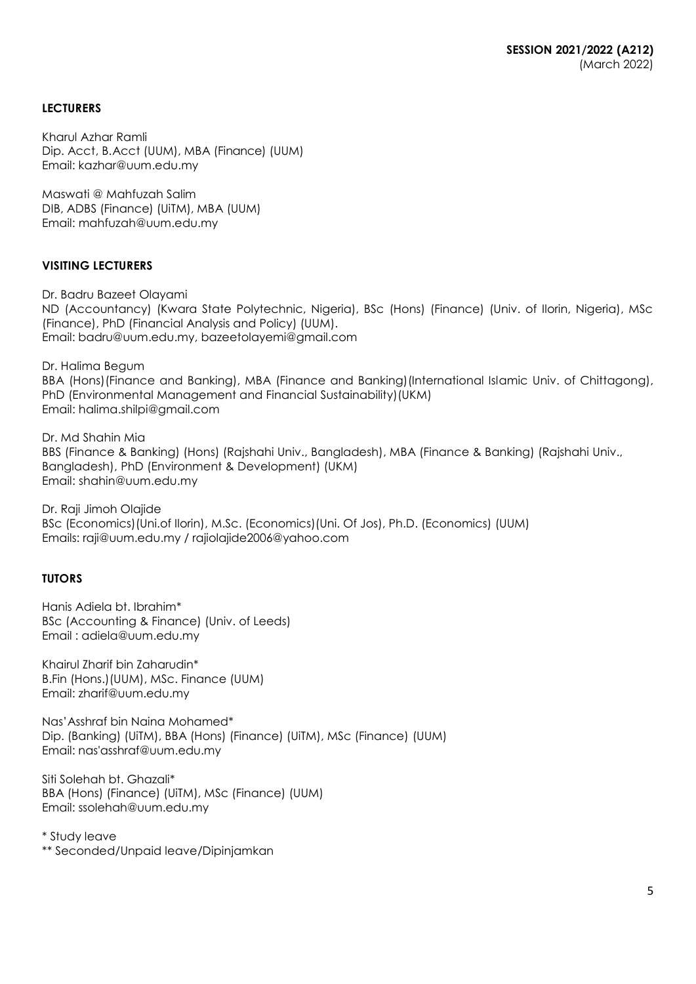# **LECTURERS**

Kharul Azhar Ramli Dip. Acct, B.Acct (UUM), MBA (Finance) (UUM) Email: [kazhar@uum.edu.my](mailto:kazhar@uum.edu.my)

Maswati @ Mahfuzah Salim DIB, ADBS (Finance) (UiTM), MBA (UUM) Email: [mahfuzah@uum.edu.my](mailto:mahfuzah@uum.edu.my)

# **VISITING LECTURERS**

Dr. Badru Bazeet Olayami ND (Accountancy) (Kwara State Polytechnic, Nigeria), BSc (Hons) (Finance) (Univ. of Ilorin, Nigeria), MSc (Finance), PhD (Financial Analysis and Policy) (UUM). Email: badru@uum.edu.my, [bazeetolayemi@gmail.com](mailto:bazeetolayemi@gmail.com)

Dr. Halima Begum

BBA (Hons)(Finance and Banking), MBA (Finance and Banking)(International Islamic Univ. of Chittagong), PhD (Environmental Management and Financial Sustainability)(UKM) Email: halima.shilpi@gmail.com

Dr. Md Shahin Mia BBS (Finance & Banking) (Hons) (Rajshahi Univ., Bangladesh), MBA (Finance & Banking) (Rajshahi Univ., Bangladesh), PhD (Environment & Development) (UKM) Email: [shahin@uum.edu.my](mailto:shahin@uum.edu.my)

Dr. Raji Jimoh Olajide BSc (Economics)(Uni.of Ilorin), M.Sc. (Economics)(Uni. Of Jos), Ph.D. (Economics) (UUM) Emails: [raji@uum.edu.m](mailto:raji@uum.edu)y / [rajiolajide2006@yahoo.com](mailto:rajiolajide2006@yahoo.com)

# **TUTORS**

Hanis Adiela bt. Ibrahim\* BSc (Accounting & Finance) (Univ. of Leeds) Email : adiela@uum.edu.my

Khairul Zharif bin Zaharudin\* B.Fin (Hons.)(UUM), MSc. Finance (UUM) Email: [zharif@uum.edu.my](mailto:zharif@uum.edu.my)

Nas'Asshraf bin Naina Mohamed\* Dip. (Banking) (UiTM), BBA (Hons) (Finance) (UiTM), MSc (Finance) (UUM) Email: nas'asshraf@uum.edu.my

Siti Solehah bt. Ghazali\* BBA (Hons) (Finance) (UiTM), MSc (Finance) (UUM) Email: ssolehah@uum.edu.my

\* Study leave

\*\* Seconded/Unpaid leave/Dipinjamkan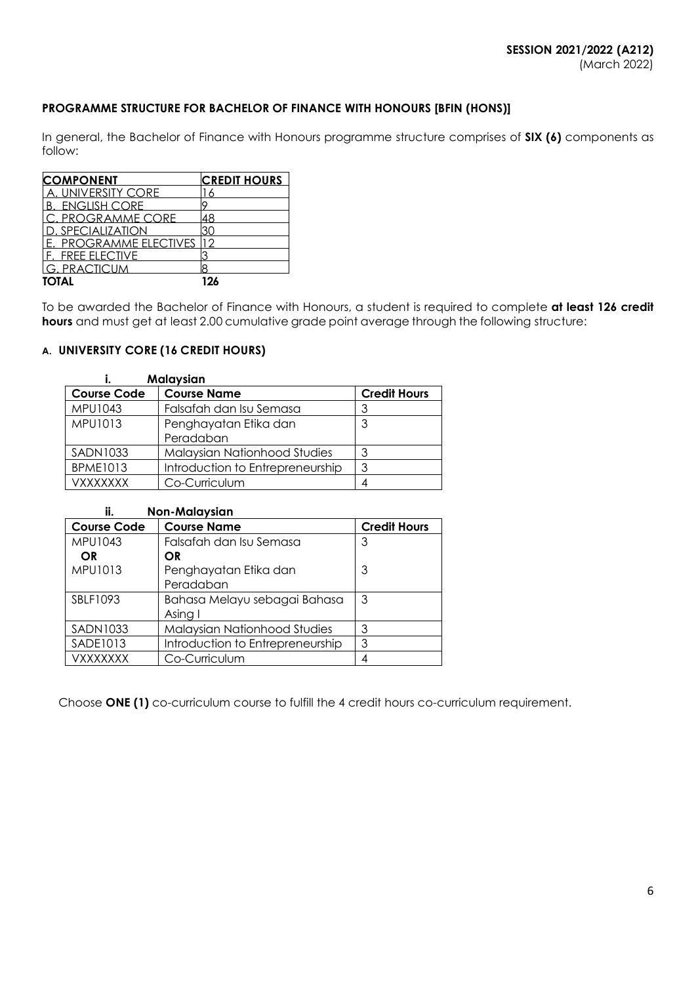# **PROGRAMME STRUCTURE FOR BACHELOR OF FINANCE WITH HONOURS [BFIN (HONS)]**

In general, the Bachelor of Finance with Honours programme structure comprises of **SIX (6)** components as follow:

| <b>COMPONENT</b>          | <b>CREDIT HOURS</b> |
|---------------------------|---------------------|
| <b>A. UNIVERSITY CORE</b> |                     |
| <b>B. ENGLISH CORE</b>    |                     |
| C. PROGRAMME CORE         | 48                  |
| ). SPECIALIZATION         |                     |
| E. PROGRAMME ELECTIVES    |                     |
| <b>F. FREE ELECTIVE</b>   |                     |
| G. PRACTICUM              |                     |
| ΤΩΤΑΙ                     | 194                 |

To be awarded the Bachelor of Finance with Honours, a student is required to complete **at least 126 credit hours** and must get at least 2.00 cumulative grade point average through the following structure:

# **A. UNIVERSITY CORE (16 CREDIT HOURS)**

| Malaysian          |                                  |                     |  |  |
|--------------------|----------------------------------|---------------------|--|--|
| <b>Course Code</b> | <b>Course Name</b>               | <b>Credit Hours</b> |  |  |
| MPU1043            | Falsafah dan Isu Semasa          |                     |  |  |
| MPU1013            | Penghayatan Etika dan            |                     |  |  |
|                    | Peradaban                        |                     |  |  |
| <b>SADN1033</b>    | Malaysian Nationhood Studies     |                     |  |  |
| <b>BPME1013</b>    | Introduction to Entrepreneurship | 3                   |  |  |
| <b>VXXXXXXX</b>    | Co-Curriculum                    |                     |  |  |

| ii.<br><b>Non-Malaysian</b> |                                     |                     |  |  |
|-----------------------------|-------------------------------------|---------------------|--|--|
| <b>Course Code</b>          | <b>Course Name</b>                  | <b>Credit Hours</b> |  |  |
| MPU1043                     | Falsafah dan Isu Semasa             | 3                   |  |  |
| OR.                         | <b>OR</b>                           |                     |  |  |
| <b>MPU1013</b>              | Penghayatan Etika dan               | 3                   |  |  |
|                             | Peradaban                           |                     |  |  |
| SBLF1093                    | Bahasa Melayu sebagai Bahasa        | 3                   |  |  |
|                             | Asing I                             |                     |  |  |
| <b>SADN1033</b>             | <b>Malaysian Nationhood Studies</b> | 3                   |  |  |
| SADE1013                    | Introduction to Entrepreneurship    | 3                   |  |  |
| VXXXXXXX                    | Co-Curriculum                       | 4                   |  |  |

Choose **ONE (1)** co-curriculum course to fulfill the 4 credit hours co-curriculum requirement.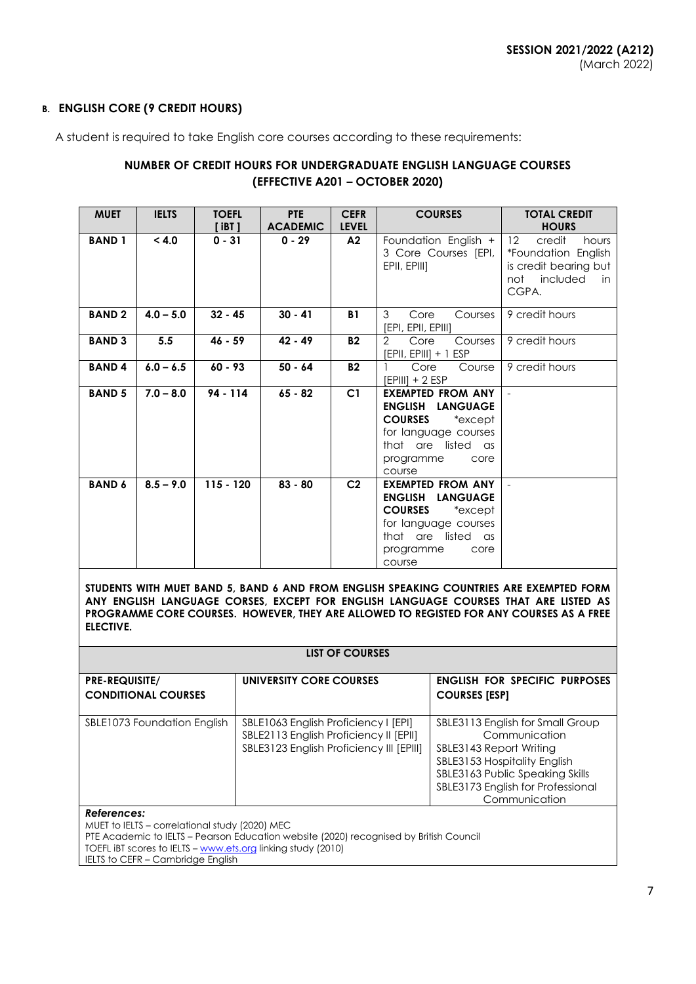# **B. ENGLISH CORE (9 CREDIT HOURS)**

A student is required to take English core courses according to these requirements:

# **NUMBER OF CREDIT HOURS FOR UNDERGRADUATE ENGLISH LANGUAGE COURSES (EFFECTIVE A201 – OCTOBER 2020)**

| <b>MUET</b>   | <b>IELTS</b> | <b>TOEFL</b><br>[ iBT ] | PTE<br><b>ACADEMIC</b> | <b>CEFR</b><br><b>LEVEL</b> | <b>COURSES</b>                                                                                                                                                          | <b>TOTAL CREDIT</b><br><b>HOURS</b>                                                                               |
|---------------|--------------|-------------------------|------------------------|-----------------------------|-------------------------------------------------------------------------------------------------------------------------------------------------------------------------|-------------------------------------------------------------------------------------------------------------------|
| <b>BAND 1</b> | < 4.0        | $0 - 31$                | $0 - 29$               | A2                          | Foundation English +<br>3 Core Courses [EPI,<br>EPII, EPIII]                                                                                                            | 12 <sup>°</sup><br>credit<br>hours<br>*Foundation English<br>is credit bearing but<br>not included<br>in<br>CGPA. |
| <b>BAND2</b>  | $4.0 - 5.0$  | $32 - 45$               | $30 - 41$              | <b>B1</b>                   | 3<br>Core<br>Courses<br>[EPI, EPII, EPIII]                                                                                                                              | 9 credit hours                                                                                                    |
| <b>BAND 3</b> | 5.5          | $46 - 59$               | $42 - 49$              | <b>B2</b>                   | 2<br>Core<br>Courses<br>[EPII, EPIII] + 1 ESP                                                                                                                           | 9 credit hours                                                                                                    |
| <b>BAND4</b>  | $6.0 - 6.5$  | $60 - 93$               | $50 - 64$              | <b>B2</b>                   | Core<br>Course<br>[EPIII] + 2 ESP                                                                                                                                       | 9 credit hours                                                                                                    |
| <b>BAND 5</b> | $7.0 - 8.0$  | 94 - 114                | $65 - 82$              | C <sub>1</sub>              | EXEMPTED FROM ANY<br><b>ENGLISH LANGUAGE</b><br><b>COURSES</b><br>*except<br>for language courses<br>that are listed as<br>programme<br>core<br>course                  |                                                                                                                   |
| <b>BAND 6</b> | $8.5 - 9.0$  | $115 - 120$             | $83 - 80$              | C <sub>2</sub>              | <b>EXEMPTED FROM ANY</b><br><b>ENGLISH</b><br><b>LANGUAGE</b><br><b>COURSES</b><br>*except<br>for language courses<br>that are listed as<br>programme<br>core<br>course |                                                                                                                   |

**STUDENTS WITH MUET BAND 5, BAND 6 AND FROM ENGLISH SPEAKING COUNTRIES ARE EXEMPTED FORM ANY ENGLISH LANGUAGE CORSES, EXCEPT FOR ENGLISH LANGUAGE COURSES THAT ARE LISTED AS PROGRAMME CORE COURSES. HOWEVER, THEY ARE ALLOWED TO REGISTED FOR ANY COURSES AS A FREE ELECTIVE.**

| LIST OF COURSES                                     |                                                                                                                            |                                                                                                                                                                                                       |  |  |  |
|-----------------------------------------------------|----------------------------------------------------------------------------------------------------------------------------|-------------------------------------------------------------------------------------------------------------------------------------------------------------------------------------------------------|--|--|--|
| <b>PRE-REQUISITE/</b><br><b>CONDITIONAL COURSES</b> | UNIVERSITY CORE COURSES                                                                                                    | <b>ENGLISH FOR SPECIFIC PURPOSES</b><br><b>COURSES [ESP]</b>                                                                                                                                          |  |  |  |
| SBLE1073 Foundation English                         | SBLE1063 English Proficiency I [EPI]<br>SBLE2113 English Proficiency II [EPII]<br>SBLE3123 English Proficiency III [EPIII] | SBLE3113 English for Small Group<br>Communication<br>SBLE3143 Report Writing<br>SBLE3153 Hospitality English<br>SBLE3163 Public Speaking Skills<br>SBLE3173 English for Professional<br>Communication |  |  |  |

#### *References:*

MUET to IELTS – correlational study (2020) MEC

PTE Academic to IELTS – Pearson Education website (2020) recognised by British Council

TOEFL iBT scores to IELTS – [www.ets.org](http://www.ets.org/) linking study (2010)

IELTS to CEFR – Cambridge English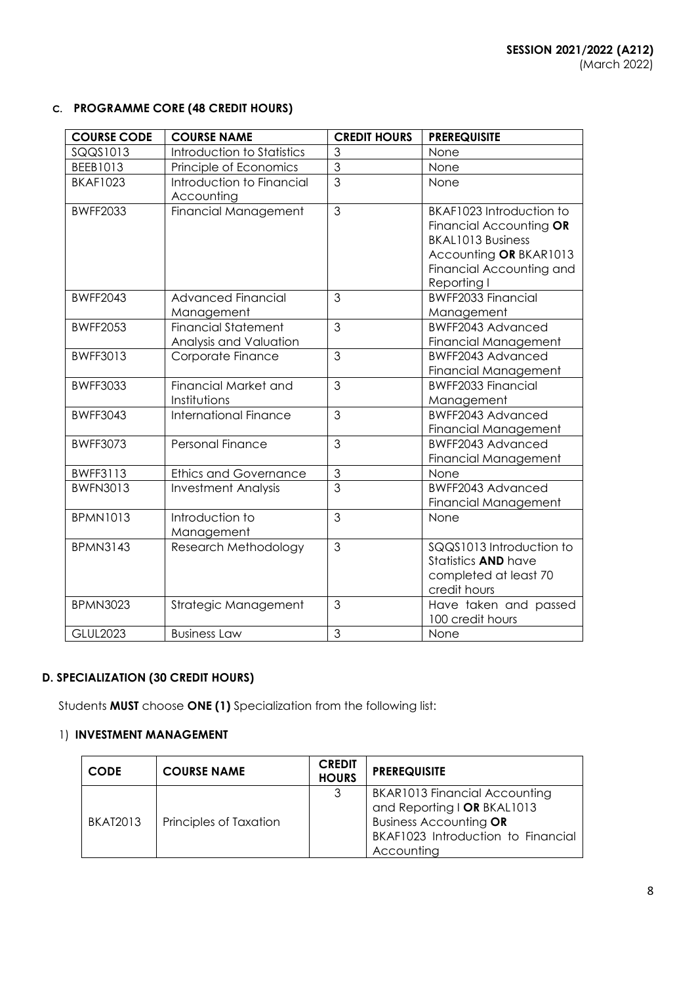# **C. PROGRAMME CORE (48 CREDIT HOURS)**

| <b>COURSE CODE</b> | <b>COURSE NAME</b>                                   | <b>CREDIT HOURS</b> | <b>PREREQUISITE</b>                                                                                                                                  |
|--------------------|------------------------------------------------------|---------------------|------------------------------------------------------------------------------------------------------------------------------------------------------|
| SQQS1013           | Introduction to Statistics                           | 3                   | None                                                                                                                                                 |
| BEEB1013           | Principle of Economics                               | $\overline{3}$      | None                                                                                                                                                 |
| <b>BKAF1023</b>    | Introduction to Financial<br>Accounting              | $\overline{3}$      | None                                                                                                                                                 |
| <b>BWFF2033</b>    | <b>Financial Management</b>                          | $\mathfrak{S}$      | BKAF1023 Introduction to<br>Financial Accounting OR<br><b>BKAL1013 Business</b><br>Accounting OR BKAR1013<br>Financial Accounting and<br>Reporting I |
| <b>BWFF2043</b>    | <b>Advanced Financial</b><br>Management              | $\mathfrak{S}$      | <b>BWFF2033 Financial</b><br>Management                                                                                                              |
| <b>BWFF2053</b>    | <b>Financial Statement</b><br>Analysis and Valuation | $\overline{3}$      | BWFF2043 Advanced<br>Financial Management                                                                                                            |
| <b>BWFF3013</b>    | Corporate Finance                                    | 3                   | <b>BWFF2043 Advanced</b><br><b>Financial Management</b>                                                                                              |
| <b>BWFF3033</b>    | Financial Market and<br>Institutions                 | 3                   | <b>BWFF2033 Financial</b><br>Management                                                                                                              |
| <b>BWFF3043</b>    | <b>International Finance</b>                         | $\mathfrak{S}$      | <b>BWFF2043 Advanced</b><br>Financial Management                                                                                                     |
| <b>BWFF3073</b>    | <b>Personal Finance</b>                              | 3                   | BWFF2043 Advanced<br>Financial Management                                                                                                            |
| <b>BWFF3113</b>    | <b>Ethics and Governance</b>                         | $\mathfrak{S}$      | None                                                                                                                                                 |
| <b>BWFN3013</b>    | <b>Investment Analysis</b>                           | $\overline{3}$      | <b>BWFF2043 Advanced</b><br>Financial Management                                                                                                     |
| <b>BPMN1013</b>    | Introduction to<br>Management                        | 3                   | None                                                                                                                                                 |
| <b>BPMN3143</b>    | Research Methodology                                 | $\mathfrak{S}$      | SQQS1013 Introduction to<br>Statistics <b>AND</b> have<br>completed at least 70<br>credit hours                                                      |
| <b>BPMN3023</b>    | Strategic Management                                 | 3                   | Have taken and passed<br>100 credit hours                                                                                                            |
| <b>GLUL2023</b>    | <b>Business Law</b>                                  | 3                   | None                                                                                                                                                 |

# **D. SPECIALIZATION (30 CREDIT HOURS)**

Students **MUST** choose **ONE (1)** Specialization from the following list:

# 1) **INVESTMENT MANAGEMENT**

| <b>CODE</b>     | <b>COURSE NAME</b>     | <b>CREDIT</b><br><b>HOURS</b> | <b>PREREQUISITE</b>                                                                                                                                      |
|-----------------|------------------------|-------------------------------|----------------------------------------------------------------------------------------------------------------------------------------------------------|
| <b>BKAT2013</b> | Principles of Taxation | 3                             | <b>BKAR1013 Financial Accounting</b><br>and Reporting I OR BKAL1013<br><b>Business Accounting OR</b><br>BKAF1023 Introduction to Financial<br>Accounting |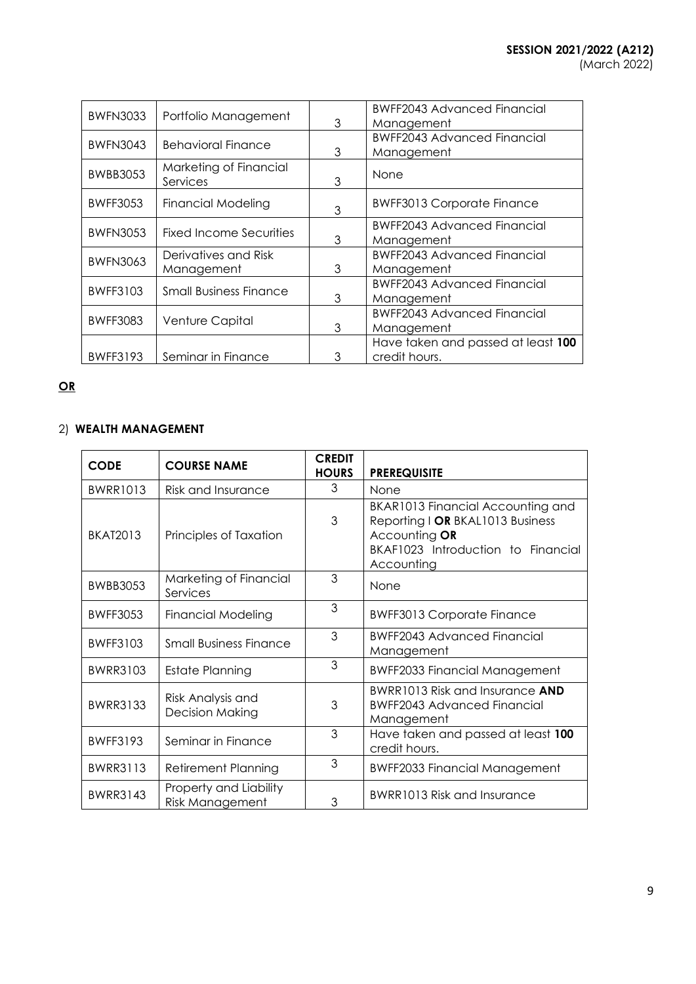| <b>BWFN3033</b> | Portfolio Management               | 3 | <b>BWFF2043 Advanced Financial</b><br>Management    |
|-----------------|------------------------------------|---|-----------------------------------------------------|
| <b>BWFN3043</b> | <b>Behavioral Finance</b>          | 3 | <b>BWFF2043 Advanced Financial</b><br>Management    |
| <b>BWBB3053</b> | Marketing of Financial<br>Services | 3 | None                                                |
| <b>BWFF3053</b> | <b>Financial Modeling</b>          | 3 | <b>BWFF3013 Corporate Finance</b>                   |
| <b>BWFN3053</b> | <b>Fixed Income Securities</b>     | 3 | BWFF2043 Advanced Financial<br>Management           |
| <b>BWFN3063</b> | Derivatives and Risk<br>Management | 3 | <b>BWFF2043 Advanced Financial</b><br>Management    |
| BWFF3103        | <b>Small Business Finance</b>      | 3 | <b>BWFF2043 Advanced Financial</b><br>Management    |
| <b>BWFF3083</b> | Venture Capital                    | 3 | <b>BWFF2043 Advanced Financial</b><br>Management    |
| <b>BWFF3193</b> | Seminar in Finance                 | 3 | Have taken and passed at least 100<br>credit hours. |

# **OR**

# 2) **WEALTH MANAGEMENT**

| <b>CODE</b>     | <b>COURSE NAME</b>                               | <b>CREDIT</b><br><b>HOURS</b> | <b>PREREQUISITE</b>                                                                                                                        |
|-----------------|--------------------------------------------------|-------------------------------|--------------------------------------------------------------------------------------------------------------------------------------------|
| <b>BWRR1013</b> | Risk and Insurance                               | 3                             | None                                                                                                                                       |
| <b>BKAT2013</b> | Principles of Taxation                           | 3                             | BKAR1013 Financial Accounting and<br>Reporting I OR BKAL1013 Business<br>Accounting OR<br>BKAF1023 Introduction to Financial<br>Accounting |
| <b>BWBB3053</b> | Marketing of Financial<br>Services               | 3                             | None                                                                                                                                       |
| <b>BWFF3053</b> | <b>Financial Modeling</b>                        | 3                             | <b>BWFF3013 Corporate Finance</b>                                                                                                          |
| <b>BWFF3103</b> | <b>Small Business Finance</b>                    | 3                             | <b>BWFF2043 Advanced Financial</b><br>Management                                                                                           |
| <b>BWRR3103</b> | Estate Planning                                  | 3                             | <b>BWFF2033 Financial Management</b>                                                                                                       |
| <b>BWRR3133</b> | Risk Analysis and<br><b>Decision Making</b>      | 3                             | BWRR1013 Risk and Insurance AND<br><b>BWFF2043 Advanced Financial</b><br>Management                                                        |
| <b>BWFF3193</b> | Seminar in Finance                               | 3                             | Have taken and passed at least 100<br>credit hours.                                                                                        |
| <b>BWRR3113</b> | <b>Retirement Planning</b>                       | 3                             | <b>BWFF2033 Financial Management</b>                                                                                                       |
| <b>BWRR3143</b> | Property and Liability<br><b>Risk Management</b> | 3                             | BWRR1013 Risk and Insurance                                                                                                                |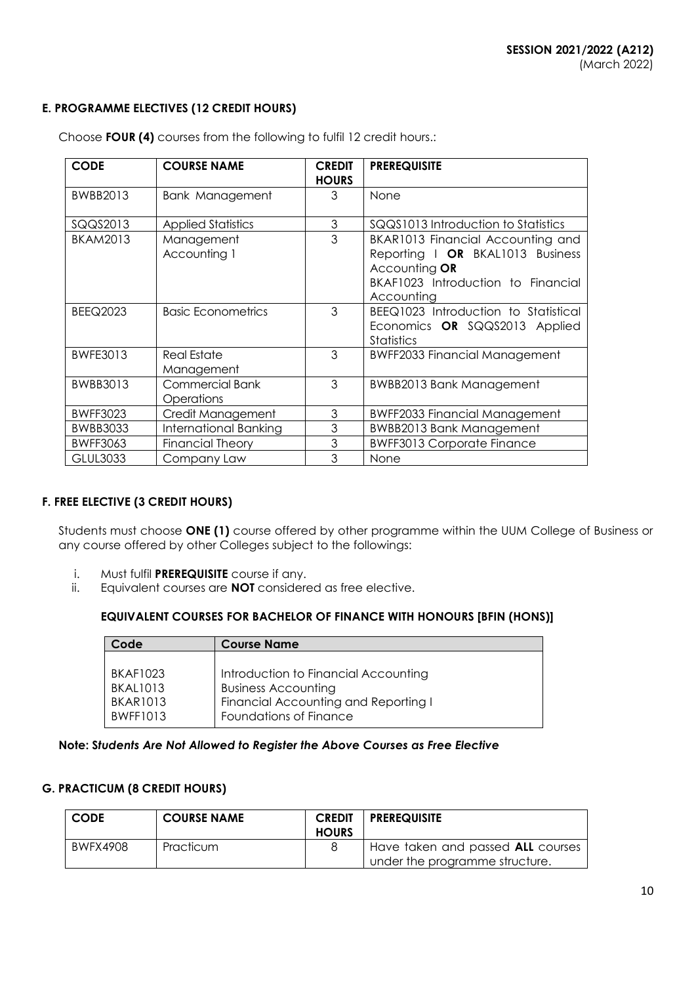# **E. PROGRAMME ELECTIVES (12 CREDIT HOURS)**

| <b>CODE</b>     | <b>COURSE NAME</b>                   | <b>CREDIT</b><br><b>HOURS</b> | <b>PREREQUISITE</b>                                                                                                                        |
|-----------------|--------------------------------------|-------------------------------|--------------------------------------------------------------------------------------------------------------------------------------------|
| BWBB2013        | <b>Bank Management</b>               | 3                             | None                                                                                                                                       |
| SQQS2013        | <b>Applied Statistics</b>            | $\mathfrak 3$                 | SQQS1013 Introduction to Statistics                                                                                                        |
| <b>BKAM2013</b> | Management<br>Accounting 1           | 3                             | BKAR1013 Financial Accounting and<br>Reporting I OR BKAL1013 Business<br>Accounting OR<br>BKAF1023 Introduction to Financial<br>Accounting |
| <b>BEEQ2023</b> | <b>Basic Econometrics</b>            | 3                             | BEEQ1023 Introduction to Statistical<br>Economics OR SQQS2013 Applied<br><b>Statistics</b>                                                 |
| <b>BWFE3013</b> | <b>Real Estate</b><br>Management     | 3                             | <b>BWFF2033 Financial Management</b>                                                                                                       |
| <b>BWBB3013</b> | <b>Commercial Bank</b><br>Operations | 3                             | BWBB2013 Bank Management                                                                                                                   |
| <b>BWFF3023</b> | Credit Management                    | 3                             | <b>BWFF2033 Financial Management</b>                                                                                                       |
| <b>BWBB3033</b> | International Banking                | 3                             | <b>BWBB2013 Bank Management</b>                                                                                                            |
| <b>BWFF3063</b> | <b>Financial Theory</b>              | 3                             | <b>BWFF3013 Corporate Finance</b>                                                                                                          |
| <b>GLUL3033</b> | Company Law                          | 3                             | None                                                                                                                                       |

Choose **FOUR (4)** courses from the following to fulfil 12 credit hours.:

# **F. FREE ELECTIVE (3 CREDIT HOURS)**

Students must choose **ONE (1)** course offered by other programme within the UUM College of Business or any course offered by other Colleges subject to the followings:

- i. Must fulfil **PREREQUISITE** course if any.
- ii. Equivalent courses are **NOT** considered as free elective.

# **EQUIVALENT COURSES FOR BACHELOR OF FINANCE WITH HONOURS [BFIN (HONS)]**

| Code            | <b>Course Name</b>                   |
|-----------------|--------------------------------------|
|                 |                                      |
| <b>BKAF1023</b> | Introduction to Financial Accounting |
| <b>BKAL1013</b> | <b>Business Accounting</b>           |
| <b>BKAR1013</b> | Financial Accounting and Reporting I |
| <b>BWFF1013</b> | Foundations of Finance               |

# **Note: S***tudents Are Not Allowed to Register the Above Courses as Free Elective*

# **G. PRACTICUM (8 CREDIT HOURS)**

| <b>CODE</b> | <b>COURSE NAME</b> | <b>CREDIT</b><br><b>HOURS</b> | <b>PREREQUISITE</b>                                                 |
|-------------|--------------------|-------------------------------|---------------------------------------------------------------------|
| BWFX4908    | Practicum          |                               | Have taken and passed ALL courses<br>under the programme structure. |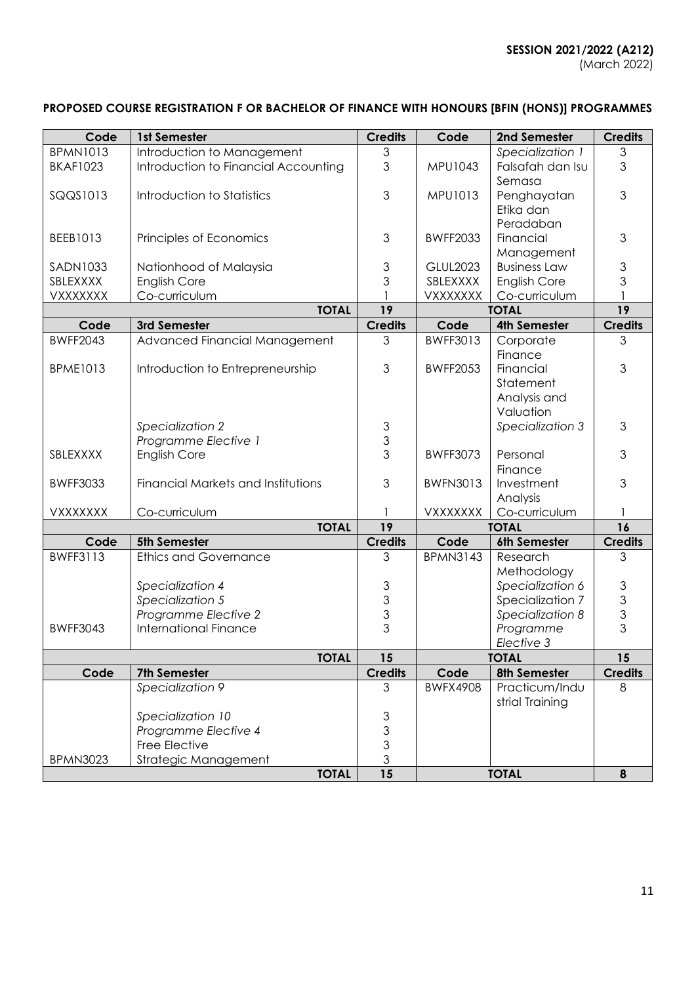# **PROPOSED COURSE REGISTRATION F OR BACHELOR OF FINANCE WITH HONOURS [BFIN (HONS)] PROGRAMMES**

| Code            | 1st Semester                         | <b>Credits</b>          | Code                        | 2nd Semester        | <b>Credits</b>                             |
|-----------------|--------------------------------------|-------------------------|-----------------------------|---------------------|--------------------------------------------|
| <b>BPMN1013</b> | Introduction to Management           | 3                       |                             | Specialization 1    | 3                                          |
| <b>BKAF1023</b> | Introduction to Financial Accounting | 3                       | MPU1043                     | Falsafah dan Isu    | 3                                          |
|                 |                                      |                         |                             | Semasa              |                                            |
| SQQS1013        | Introduction to Statistics           | 3                       | MPU1013                     | Penghayatan         | 3                                          |
|                 |                                      |                         |                             | Etika dan           |                                            |
|                 |                                      |                         |                             | Peradaban           |                                            |
| <b>BEEB1013</b> | Principles of Economics              | 3                       | <b>BWFF2033</b>             | Financial           | 3                                          |
|                 |                                      |                         |                             | Management          |                                            |
| <b>SADN1033</b> | Nationhood of Malaysia               | $\mathfrak{S}% _{k}(G)$ | <b>GLUL2023</b>             | <b>Business Law</b> | $\ensuremath{\mathsf{3}}$                  |
| SBLEXXXX        | <b>English Core</b>                  | 3                       | SBLEXXXX                    | English Core        | 3                                          |
| VXXXXXXX        | Co-curriculum                        |                         | VXXXXXXX                    | Co-curriculum       | 1                                          |
|                 | <b>TOTAL</b>                         | 19                      |                             | <b>TOTAL</b>        | 19                                         |
| Code            | 3rd Semester                         | <b>Credits</b>          | Code<br><b>4th Semester</b> |                     | <b>Credits</b>                             |
| <b>BWFF2043</b> | Advanced Financial Management        | 3                       | <b>BWFF3013</b>             | Corporate           | 3                                          |
|                 |                                      |                         |                             | Finance             |                                            |
| <b>BPME1013</b> | Introduction to Entrepreneurship     | 3                       | <b>BWFF2053</b>             | Financial           | 3                                          |
|                 |                                      |                         |                             | Statement           |                                            |
|                 |                                      |                         |                             | Analysis and        |                                            |
|                 |                                      |                         |                             | Valuation           |                                            |
|                 |                                      |                         |                             |                     |                                            |
|                 | Specialization 2                     | $\mathfrak{S}$          |                             | Specialization 3    | 3                                          |
|                 | Programme Elective 1                 | 3                       |                             |                     |                                            |
| SBLEXXXX        | <b>English Core</b>                  | 3                       | <b>BWFF3073</b>             | Personal            | 3                                          |
|                 |                                      |                         |                             | Finance             |                                            |
| <b>BWFF3033</b> | Financial Markets and Institutions   | 3                       | <b>BWFN3013</b>             | Investment          | 3                                          |
|                 |                                      |                         |                             | Analysis            |                                            |
| <b>VXXXXXXX</b> | Co-curriculum                        |                         | VXXXXXXX                    | Co-curriculum       |                                            |
|                 | <b>TOTAL</b>                         | 19                      | <b>TOTAL</b>                |                     | 16                                         |
| Code            | 5th Semester                         | <b>Credits</b>          | Code                        | 6th Semester        | <b>Credits</b>                             |
| <b>BWFF3113</b> | <b>Ethics and Governance</b>         | 3                       | <b>BPMN3143</b>             | Research            | 3                                          |
|                 |                                      |                         |                             | Methodology         |                                            |
|                 | Specialization 4                     | 3                       |                             | Specialization 6    |                                            |
|                 | Specialization 5                     | $\frac{3}{3}$           |                             | Specialization 7    | $\begin{array}{c} 3 \\ 3 \\ 3 \end{array}$ |
|                 | Programme Elective 2                 |                         |                             | Specialization 8    |                                            |
| <b>BWFF3043</b> | <b>International Finance</b>         | 3                       |                             | Programme           |                                            |
|                 |                                      |                         |                             | Elective 3          |                                            |
|                 | <b>TOTAL</b>                         | 15                      |                             | <b>TOTAL</b>        | 15                                         |
| Code            | 7th Semester                         | <b>Credits</b>          | Code                        | 8th Semester        | <b>Credits</b>                             |
|                 | Specialization 9                     | 3                       | <b>BWFX4908</b>             | Practicum/Indu      | 8                                          |
|                 |                                      |                         |                             | strial Training     |                                            |
|                 | Specialization 10                    | $\mathfrak{S}$          |                             |                     |                                            |
|                 | Programme Elective 4                 | $\frac{3}{3}$           |                             |                     |                                            |
|                 | Free Elective                        |                         |                             |                     |                                            |
| <b>BPMN3023</b> | Strategic Management                 | $\overline{3}$          |                             |                     |                                            |
|                 | <b>TOTAL</b>                         | 15                      |                             | <b>TOTAL</b>        | 8                                          |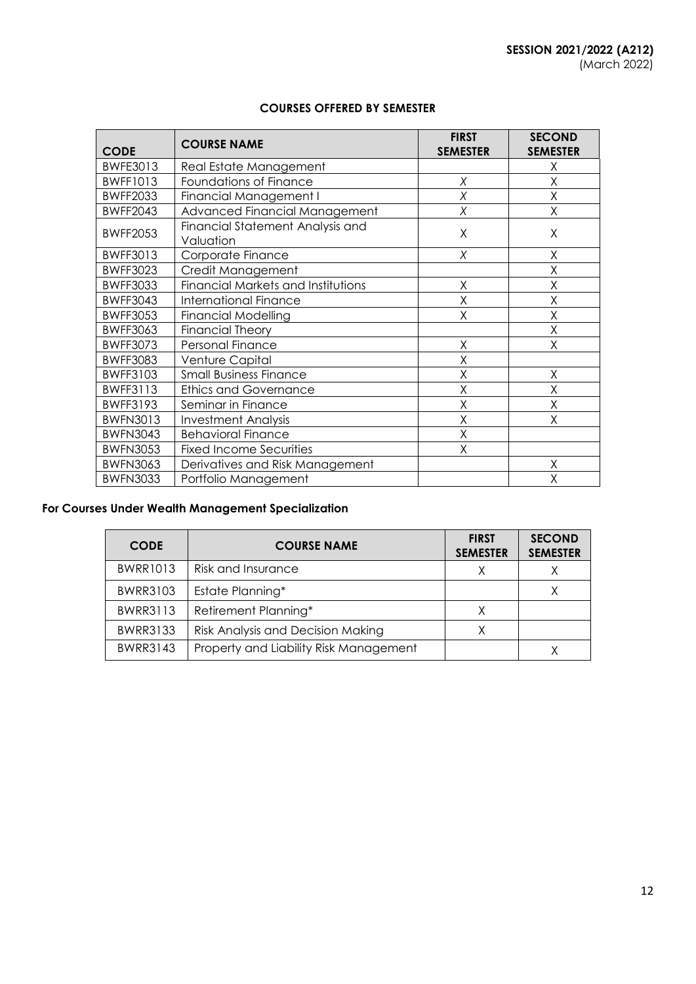| <b>CODE</b>     | <b>COURSE NAME</b>                            | <b>FIRST</b><br><b>SEMESTER</b> | <b>SECOND</b><br><b>SEMESTER</b> |
|-----------------|-----------------------------------------------|---------------------------------|----------------------------------|
| BWFE3013        | Real Estate Management                        |                                 | Χ                                |
| <b>BWFF1013</b> | <b>Foundations of Finance</b>                 | Χ                               | X                                |
| <b>BWFF2033</b> | <b>Financial Management I</b>                 | Χ                               | X                                |
| <b>BWFF2043</b> | Advanced Financial Management                 | Χ                               | Χ                                |
| <b>BWFF2053</b> | Financial Statement Analysis and<br>Valuation | X                               | Χ                                |
| <b>BWFF3013</b> | Corporate Finance                             | Χ                               | Χ                                |
| <b>BWFF3023</b> | Credit Management                             |                                 | Χ                                |
| <b>BWFF3033</b> | <b>Financial Markets and Institutions</b>     | X                               | X                                |
| <b>BWFF3043</b> | <b>International Finance</b>                  | X                               | Χ                                |
| <b>BWFF3053</b> | <b>Financial Modelling</b>                    | X                               | X                                |
| <b>BWFF3063</b> | <b>Financial Theory</b>                       |                                 | Χ                                |
| <b>BWFF3073</b> | Personal Finance                              | X                               | Χ                                |
| <b>BWFF3083</b> | Venture Capital                               | X                               |                                  |
| <b>BWFF3103</b> | <b>Small Business Finance</b>                 | X                               | X                                |
| <b>BWFF3113</b> | <b>Ethics and Governance</b>                  | X                               | X                                |
| <b>BWFF3193</b> | Seminar in Finance                            | X                               | Χ                                |
| <b>BWFN3013</b> | <b>Investment Analysis</b>                    | X                               | Χ                                |
| <b>BWFN3043</b> | <b>Behavioral Finance</b>                     | X                               |                                  |
| <b>BWFN3053</b> | <b>Fixed Income Securities</b>                | X                               |                                  |
| <b>BWFN3063</b> | Derivatives and Risk Management               |                                 | Χ                                |
| <b>BWFN3033</b> | Portfolio Management                          |                                 | Χ                                |

# **COURSES OFFERED BY SEMESTER**

# **For Courses Under Wealth Management Specialization**

| <b>CODE</b>     | <b>COURSE NAME</b>                     | <b>FIRST</b><br><b>SEMESTER</b> | <b>SECOND</b><br><b>SEMESTER</b> |
|-----------------|----------------------------------------|---------------------------------|----------------------------------|
| <b>BWRR1013</b> | Risk and Insurance                     |                                 |                                  |
| <b>BWRR3103</b> | Estate Planning*                       |                                 |                                  |
| <b>BWRR3113</b> | Retirement Planning*                   | X                               |                                  |
| <b>BWRR3133</b> | Risk Analysis and Decision Making      |                                 |                                  |
| <b>BWRR3143</b> | Property and Liability Risk Management |                                 |                                  |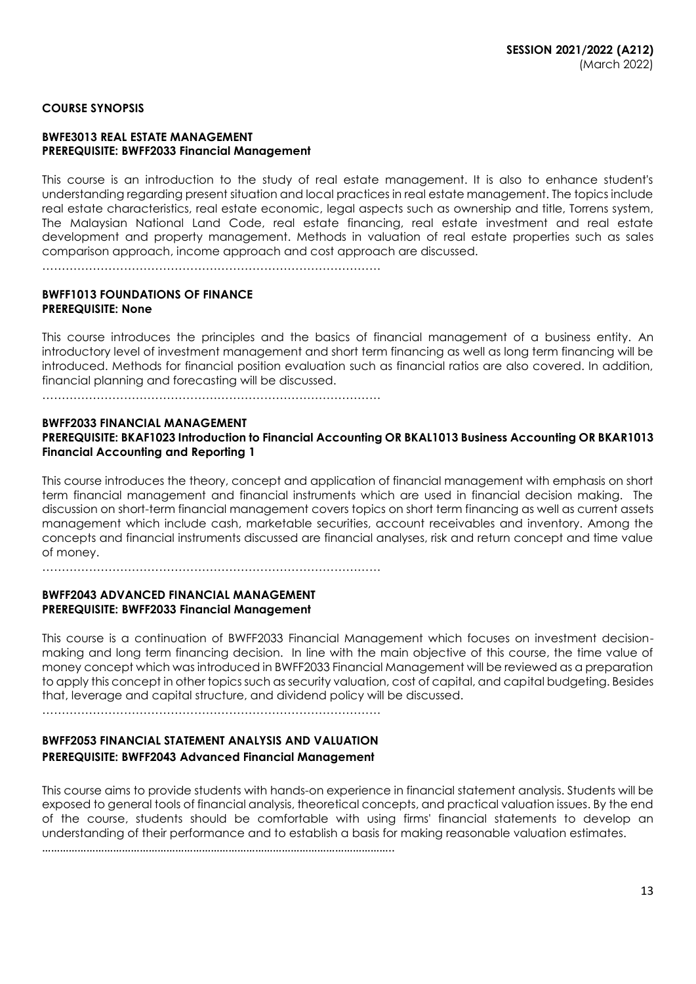# **COURSE SYNOPSIS**

#### **BWFE3013 REAL ESTATE MANAGEMENT PREREQUISITE: BWFF2033 Financial Management**

This course is an introduction to the study of real estate management. It is also to enhance student's understanding regarding present situation and local practices in real estate management. The topics include real estate characteristics, real estate economic, legal aspects such as ownership and title, Torrens system, The Malaysian National Land Code, real estate financing, real estate investment and real estate development and property management. Methods in valuation of real estate properties such as sales comparison approach, income approach and cost approach are discussed.

……………………………………………………………………………

#### **BWFF1013 FOUNDATIONS OF FINANCE PREREQUISITE: None**

This course introduces the principles and the basics of financial management of a business entity. An introductory level of investment management and short term financing as well as long term financing will be introduced. Methods for financial position evaluation such as financial ratios are also covered. In addition, financial planning and forecasting will be discussed.

……………………………………………………………………………

# **BWFF2033 FINANCIAL MANAGEMENT PREREQUISITE: BKAF1023 Introduction to Financial Accounting OR BKAL1013 Business Accounting OR BKAR1013 Financial Accounting and Reporting 1**

This course introduces the theory, concept and application of financial management with emphasis on short term financial management and financial instruments which are used in financial decision making. The discussion on short-term financial management covers topics on short term financing as well as current assets management which include cash, marketable securities, account receivables and inventory. Among the concepts and financial instruments discussed are financial analyses, risk and return concept and time value of money.

……………………………………………………………………………

# **BWFF2043 ADVANCED FINANCIAL MANAGEMENT PREREQUISITE: BWFF2033 Financial Management**

This course is a continuation of BWFF2033 Financial Management which focuses on investment decisionmaking and long term financing decision. In line with the main objective of this course, the time value of money concept which was introduced in BWFF2033 Financial Management will be reviewed as a preparation to apply this concept in other topics such as security valuation, cost of capital, and capital budgeting. Besides that, leverage and capital structure, and dividend policy will be discussed.

……………………………………………………………………………

# **BWFF2053 FINANCIAL STATEMENT ANALYSIS AND VALUATION PREREQUISITE: BWFF2043 Advanced Financial Management**

This course aims to provide students with hands-on experience in financial statement analysis. Students will be exposed to general tools of financial analysis, theoretical concepts, and practical valuation issues. By the end of the course, students should be comfortable with using firms' financial statements to develop an understanding of their performance and to establish a basis for making reasonable valuation estimates.

………………………………………………………………………………………………………..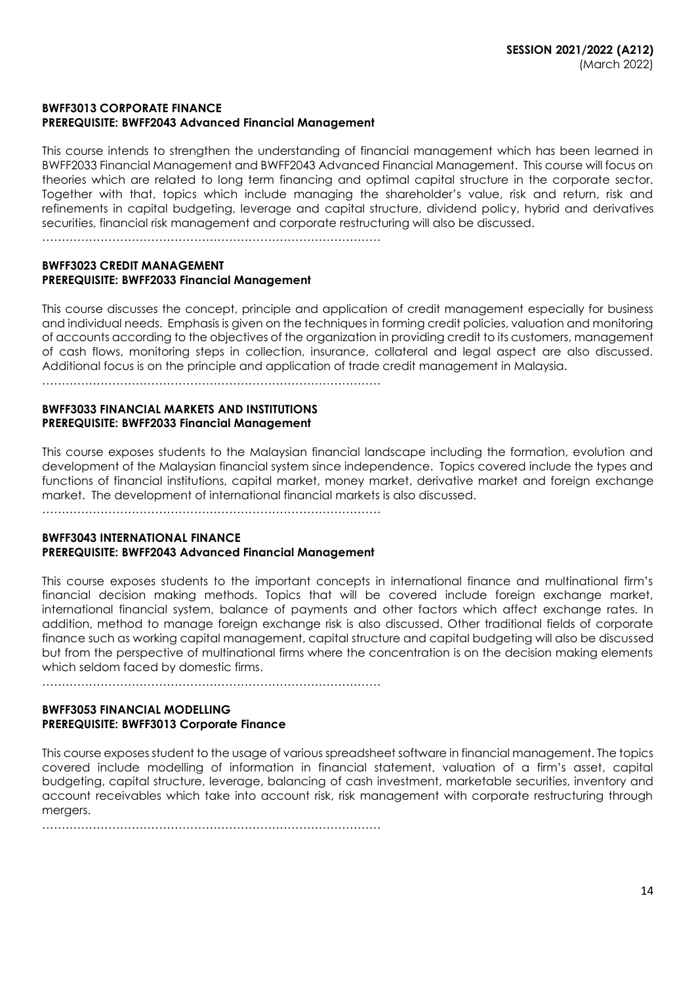# **BWFF3013 CORPORATE FINANCE PREREQUISITE: BWFF2043 Advanced Financial Management**

This course intends to strengthen the understanding of financial management which has been learned in BWFF2033 Financial Management and BWFF2043 Advanced Financial Management. This course will focus on theories which are related to long term financing and optimal capital structure in the corporate sector. Together with that, topics which include managing the shareholder's value, risk and return, risk and refinements in capital budgeting, leverage and capital structure, dividend policy, hybrid and derivatives securities, financial risk management and corporate restructuring will also be discussed.

……………………………………………………………………………

# **BWFF3023 CREDIT MANAGEMENT PREREQUISITE: BWFF2033 Financial Management**

This course discusses the concept, principle and application of credit management especially for business and individual needs. Emphasis is given on the techniques in forming credit policies, valuation and monitoring of accounts according to the objectives of the organization in providing credit to its customers, management of cash flows, monitoring steps in collection, insurance, collateral and legal aspect are also discussed. Additional focus is on the principle and application of trade credit management in Malaysia.

……………………………………………………………………………

#### **BWFF3033 FINANCIAL MARKETS AND INSTITUTIONS PREREQUISITE: BWFF2033 Financial Management**

This course exposes students to the Malaysian financial landscape including the formation, evolution and development of the Malaysian financial system since independence. Topics covered include the types and functions of financial institutions, capital market, money market, derivative market and foreign exchange market. The development of international financial markets is also discussed.

#### **BWFF3043 INTERNATIONAL FINANCE PREREQUISITE: BWFF2043 Advanced Financial Management**

This course exposes students to the important concepts in international finance and multinational firm's financial decision making methods. Topics that will be covered include foreign exchange market, international financial system, balance of payments and other factors which affect exchange rates. In addition, method to manage foreign exchange risk is also discussed. Other traditional fields of corporate finance such as working capital management, capital structure and capital budgeting will also be discussed but from the perspective of multinational firms where the concentration is on the decision making elements which seldom faced by domestic firms.

……………………………………………………………………………

# **BWFF3053 FINANCIAL MODELLING PREREQUISITE: BWFF3013 Corporate Finance**

This course exposes student to the usage of various spreadsheet software in financial management. The topics covered include modelling of information in financial statement, valuation of a firm's asset, capital budgeting, capital structure, leverage, balancing of cash investment, marketable securities, inventory and account receivables which take into account risk, risk management with corporate restructuring through mergers.

……………………………………………………………………………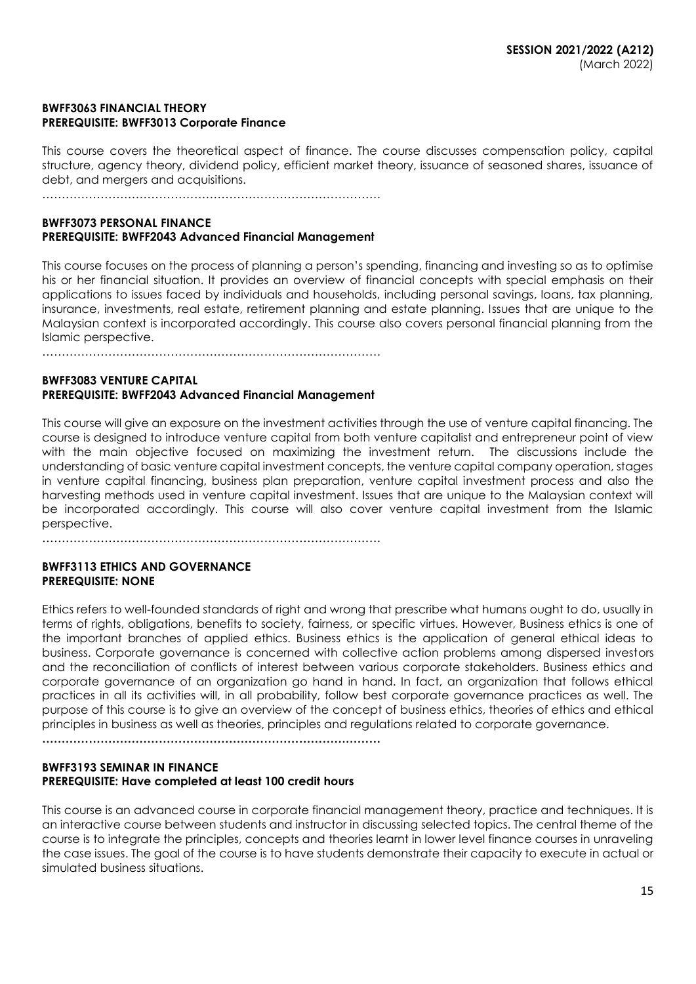# **BWFF3063 FINANCIAL THEORY PREREQUISITE: BWFF3013 Corporate Finance**

This course covers the theoretical aspect of finance. The course discusses compensation policy, capital structure, agency theory, dividend policy, efficient market theory, issuance of seasoned shares, issuance of debt, and mergers and acquisitions.

……………………………………………………………………………

# **BWFF3073 PERSONAL FINANCE PREREQUISITE: BWFF2043 Advanced Financial Management**

This course focuses on the process of planning a person's spending, financing and investing so as to optimise his or her financial situation. It provides an overview of financial concepts with special emphasis on their applications to issues faced by individuals and households, including personal savings, loans, tax planning, insurance, investments, real estate, retirement planning and estate planning. Issues that are unique to the Malaysian context is incorporated accordingly. This course also covers personal financial planning from the Islamic perspective.

……………………………………………………………………………

# **BWFF3083 VENTURE CAPITAL PREREQUISITE: BWFF2043 Advanced Financial Management**

This course will give an exposure on the investment activities through the use of venture capital financing. The course is designed to introduce venture capital from both venture capitalist and entrepreneur point of view with the main objective focused on maximizing the investment return. The discussions include the understanding of basic venture capital investment concepts, the venture capital company operation, stages in venture capital financing, business plan preparation, venture capital investment process and also the harvesting methods used in venture capital investment. Issues that are unique to the Malaysian context will be incorporated accordingly. This course will also cover venture capital investment from the Islamic perspective.

……………………………………………………………………………

# **BWFF3113 ETHICS AND GOVERNANCE PREREQUISITE: NONE**

Ethics refers to well-founded standards of right and wrong that prescribe what humans ought to do, usually in terms of rights, obligations, benefits to society, fairness, or specific virtues. However, Business ethics is one of the important branches of applied ethics. Business ethics is the application of general ethical ideas to business. Corporate governance is concerned with collective action problems among dispersed investors and the reconciliation of conflicts of interest between various corporate stakeholders. Business ethics and corporate governance of an organization go hand in hand. In fact, an organization that follows ethical practices in all its activities will, in all probability, follow best corporate governance practices as well. The purpose of this course is to give an overview of the concept of business ethics, theories of ethics and ethical principles in business as well as theories, principles and regulations related to corporate governance.

**……………………………………………………………………………**

# **BWFF3193 SEMINAR IN FINANCE PREREQUISITE: Have completed at least 100 credit hours**

This course is an advanced course in corporate financial management theory, practice and techniques. It is an interactive course between students and instructor in discussing selected topics. The central theme of the course is to integrate the principles, concepts and theories learnt in lower level finance courses in unraveling the case issues. The goal of the course is to have students demonstrate their capacity to execute in actual or simulated business situations.